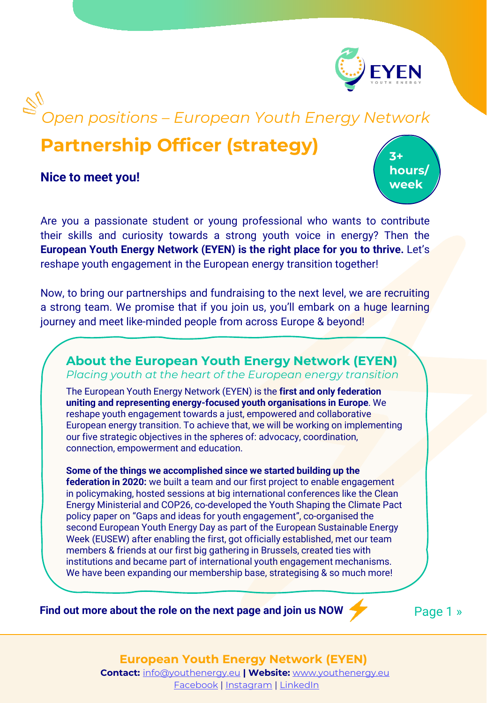

# *Open positions – European Youth Energy Network*

# **Partnership Officer (strategy)**

**Nice to meet you!**

**3+ hours/ week**

Are you a passionate student or young professional who wants to contribute their skills and curiosity towards a strong youth voice in energy? Then the **European Youth Energy Network (EYEN) is the right place for you to thrive.** Let's reshape youth engagement in the European energy transition together!

Now, to bring our partnerships and fundraising to the next level, we are recruiting a strong team. We promise that if you join us, you'll embark on a huge learning journey and meet like-minded people from across Europe & beyond!

#### **About the European Youth Energy Network (EYEN)** *Placing youth at the heart of the European energy transition*

The European Youth Energy Network (EYEN) is the **first and only federation uniting and representing energy-focused youth organisations in Europe**. We reshape youth engagement towards a just, empowered and collaborative European energy transition. To achieve that, we will be working on implementing our five strategic objectives in the spheres of: advocacy, coordination, connection, empowerment and education.

**Some of the things we accomplished since we started building up the federation in 2020:** we built a team and our first project to enable engagement in policymaking, hosted sessions at big international conferences like the Clean Energy Ministerial and COP26, co-developed the Youth Shaping the Climate Pact policy paper on "Gaps and ideas for youth engagement", co-organised the second European Youth Energy Day as part of the European Sustainable Energy Week (EUSEW) after enabling the first, got officially established, met our team members & friends at our first big gathering in Brussels, created ties with institutions and became part of international youth engagement mechanisms. We have been expanding our membership base, strategising & so much more!

**Find out more about the role on the next page and join us NOW** 

Page 1 »

#### **European Youth Energy Network (EYEN) Contact:** [info@youthenergy.eu](mailto:info@youthenergy.eu) **| Website:** [www.youthenergy.eu](http://www.youthenergy.eu/)

[Facebook](https://www.facebook.com/EYENYouthEnergy) | [Instagram](https://www.instagram.com/eyen_youthenergy/) | [LinkedIn](https://www.linkedin.com/company/eyenyouthenergy/)